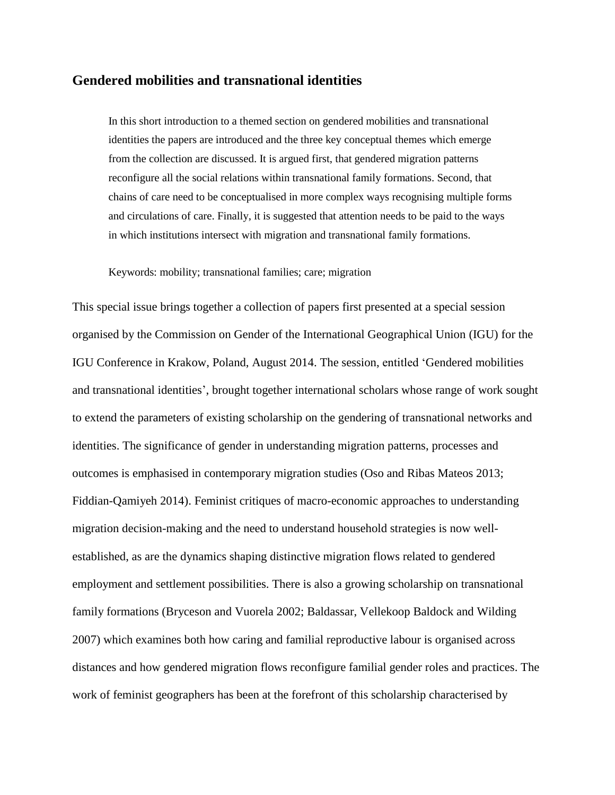## **Gendered mobilities and transnational identities**

In this short introduction to a themed section on gendered mobilities and transnational identities the papers are introduced and the three key conceptual themes which emerge from the collection are discussed. It is argued first, that gendered migration patterns reconfigure all the social relations within transnational family formations. Second, that chains of care need to be conceptualised in more complex ways recognising multiple forms and circulations of care. Finally, it is suggested that attention needs to be paid to the ways in which institutions intersect with migration and transnational family formations.

Keywords: mobility; transnational families; care; migration

This special issue brings together a collection of papers first presented at a special session organised by the Commission on Gender of the International Geographical Union (IGU) for the IGU Conference in Krakow, Poland, August 2014. The session, entitled 'Gendered mobilities and transnational identities', brought together international scholars whose range of work sought to extend the parameters of existing scholarship on the gendering of transnational networks and identities. The significance of gender in understanding migration patterns, processes and outcomes is emphasised in contemporary migration studies (Oso and Ribas Mateos 2013; Fiddian-Qamiyeh 2014). Feminist critiques of macro-economic approaches to understanding migration decision-making and the need to understand household strategies is now wellestablished, as are the dynamics shaping distinctive migration flows related to gendered employment and settlement possibilities. There is also a growing scholarship on transnational family formations (Bryceson and Vuorela 2002; Baldassar, Vellekoop Baldock and Wilding 2007) which examines both how caring and familial reproductive labour is organised across distances and how gendered migration flows reconfigure familial gender roles and practices. The work of feminist geographers has been at the forefront of this scholarship characterised by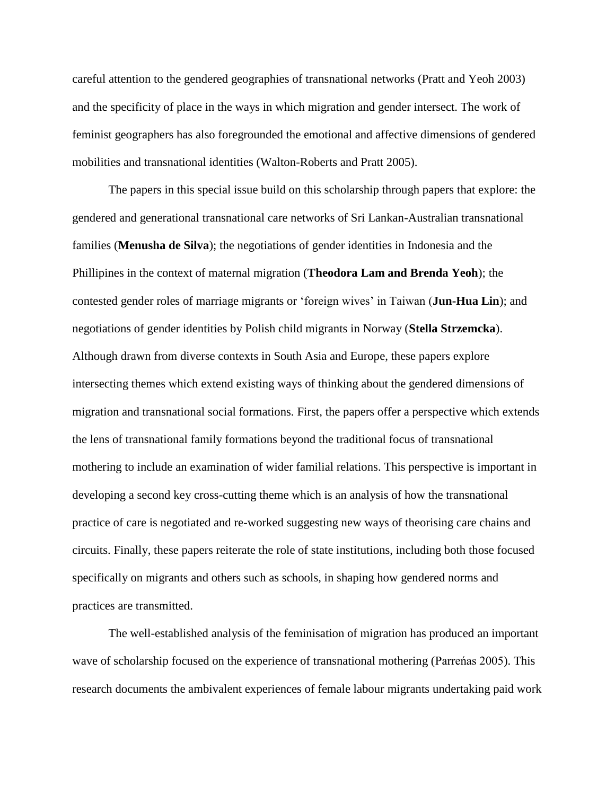careful attention to the gendered geographies of transnational networks (Pratt and Yeoh 2003) and the specificity of place in the ways in which migration and gender intersect. The work of feminist geographers has also foregrounded the emotional and affective dimensions of gendered mobilities and transnational identities (Walton-Roberts and Pratt 2005).

The papers in this special issue build on this scholarship through papers that explore: the gendered and generational transnational care networks of Sri Lankan-Australian transnational families (**Menusha de Silva**); the negotiations of gender identities in Indonesia and the Phillipines in the context of maternal migration (**Theodora Lam and Brenda Yeoh**); the contested gender roles of marriage migrants or 'foreign wives' in Taiwan (**Jun-Hua Lin**); and negotiations of gender identities by Polish child migrants in Norway (**Stella Strzemcka**). Although drawn from diverse contexts in South Asia and Europe, these papers explore intersecting themes which extend existing ways of thinking about the gendered dimensions of migration and transnational social formations. First, the papers offer a perspective which extends the lens of transnational family formations beyond the traditional focus of transnational mothering to include an examination of wider familial relations. This perspective is important in developing a second key cross-cutting theme which is an analysis of how the transnational practice of care is negotiated and re-worked suggesting new ways of theorising care chains and circuits. Finally, these papers reiterate the role of state institutions, including both those focused specifically on migrants and others such as schools, in shaping how gendered norms and practices are transmitted.

The well-established analysis of the feminisation of migration has produced an important wave of scholarship focused on the experience of transnational mothering (Parreńas 2005). This research documents the ambivalent experiences of female labour migrants undertaking paid work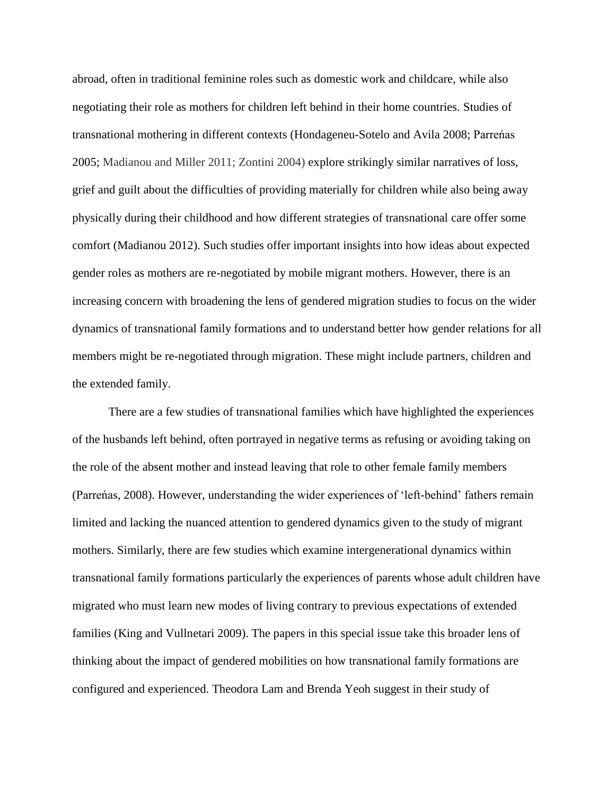abroad, often in traditional feminine roles such as domestic work and childcare, while also negotiating their role as mothers for children left behind in their home countries. Studies of transnational mothering in different contexts (Hondageneu-Sotelo and Avila 2008; Parreńas 2005; Madianou and Miller 2011; Zontini 2004) explore strikingly similar narratives of loss, grief and guilt about the difficulties of providing materially for children while also being away physically during their childhood and how different strategies of transnational care offer some comfort (Madianou 2012). Such studies offer important insights into how ideas about expected gender roles as mothers are re-negotiated by mobile migrant mothers. However, there is an increasing concern with broadening the lens of gendered migration studies to focus on the wider dynamics of transnational family formations and to understand better how gender relations for all members might be re-negotiated through migration. These might include partners, children and the extended family.

There are a few studies of transnational families which have highlighted the experiences of the husbands left behind, often portrayed in negative terms as refusing or avoiding taking on the role of the absent mother and instead leaving that role to other female family members (Parreńas, 2008). However, understanding the wider experiences of 'left-behind' fathers remain limited and lacking the nuanced attention to gendered dynamics given to the study of migrant mothers. Similarly, there are few studies which examine intergenerational dynamics within transnational family formations particularly the experiences of parents whose adult children have migrated who must learn new modes of living contrary to previous expectations of extended families (King and Vullnetari 2009). The papers in this special issue take this broader lens of thinking about the impact of gendered mobilities on how transnational family formations are configured and experienced. Theodora Lam and Brenda Yeoh suggest in their study of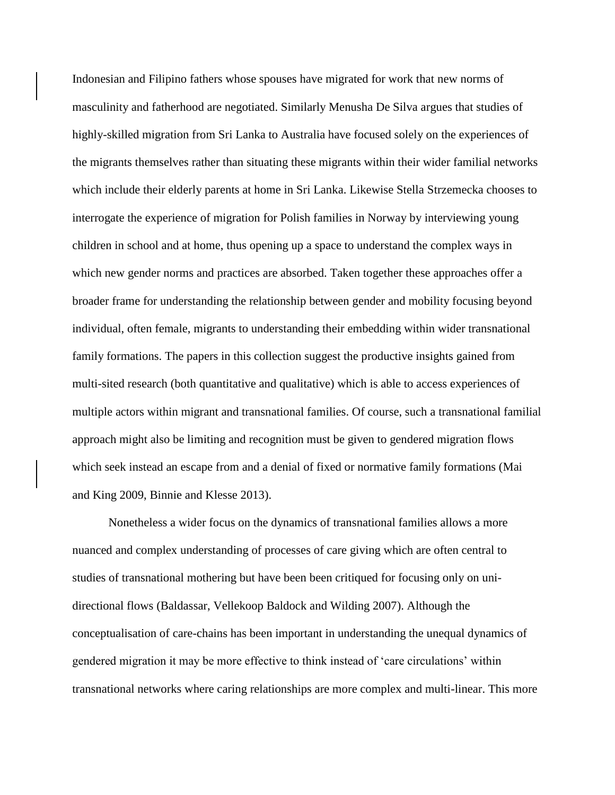Indonesian and Filipino fathers whose spouses have migrated for work that new norms of masculinity and fatherhood are negotiated. Similarly Menusha De Silva argues that studies of highly-skilled migration from Sri Lanka to Australia have focused solely on the experiences of the migrants themselves rather than situating these migrants within their wider familial networks which include their elderly parents at home in Sri Lanka. Likewise Stella Strzemecka chooses to interrogate the experience of migration for Polish families in Norway by interviewing young children in school and at home, thus opening up a space to understand the complex ways in which new gender norms and practices are absorbed. Taken together these approaches offer a broader frame for understanding the relationship between gender and mobility focusing beyond individual, often female, migrants to understanding their embedding within wider transnational family formations. The papers in this collection suggest the productive insights gained from multi-sited research (both quantitative and qualitative) which is able to access experiences of multiple actors within migrant and transnational families. Of course, such a transnational familial approach might also be limiting and recognition must be given to gendered migration flows which seek instead an escape from and a denial of fixed or normative family formations (Mai and King 2009, Binnie and Klesse 2013).

Nonetheless a wider focus on the dynamics of transnational families allows a more nuanced and complex understanding of processes of care giving which are often central to studies of transnational mothering but have been been critiqued for focusing only on unidirectional flows (Baldassar, Vellekoop Baldock and Wilding 2007). Although the conceptualisation of care-chains has been important in understanding the unequal dynamics of gendered migration it may be more effective to think instead of 'care circulations' within transnational networks where caring relationships are more complex and multi-linear. This more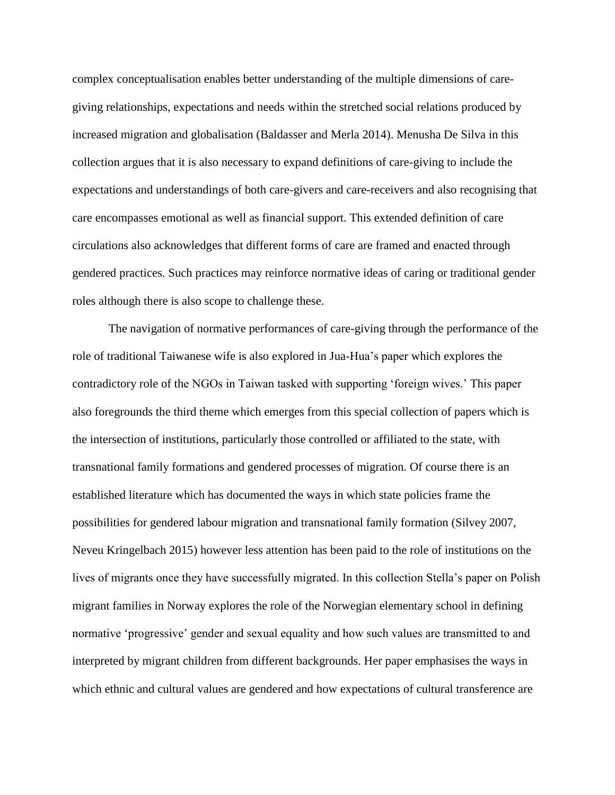complex conceptualisation enables better understanding of the multiple dimensions of caregiving relationships, expectations and needs within the stretched social relations produced by increased migration and globalisation (Baldasser and Merla 2014). Menusha De Silva in this collection argues that it is also necessary to expand definitions of care-giving to include the expectations and understandings of both care-givers and care-receivers and also recognising that care encompasses emotional as well as financial support. This extended definition of care circulations also acknowledges that different forms of care are framed and enacted through gendered practices. Such practices may reinforce normative ideas of caring or traditional gender roles although there is also scope to challenge these.

The navigation of normative performances of care-giving through the performance of the role of traditional Taiwanese wife is also explored in Jua-Hua's paper which explores the contradictory role of the NGOs in Taiwan tasked with supporting 'foreign wives.' This paper also foregrounds the third theme which emerges from this special collection of papers which is the intersection of institutions, particularly those controlled or affiliated to the state, with transnational family formations and gendered processes of migration. Of course there is an established literature which has documented the ways in which state policies frame the possibilities for gendered labour migration and transnational family formation (Silvey 2007, Neveu Kringelbach 2015) however less attention has been paid to the role of institutions on the lives of migrants once they have successfully migrated. In this collection Stella's paper on Polish migrant families in Norway explores the role of the Norwegian elementary school in defining normative 'progressive' gender and sexual equality and how such values are transmitted to and interpreted by migrant children from different backgrounds. Her paper emphasises the ways in which ethnic and cultural values are gendered and how expectations of cultural transference are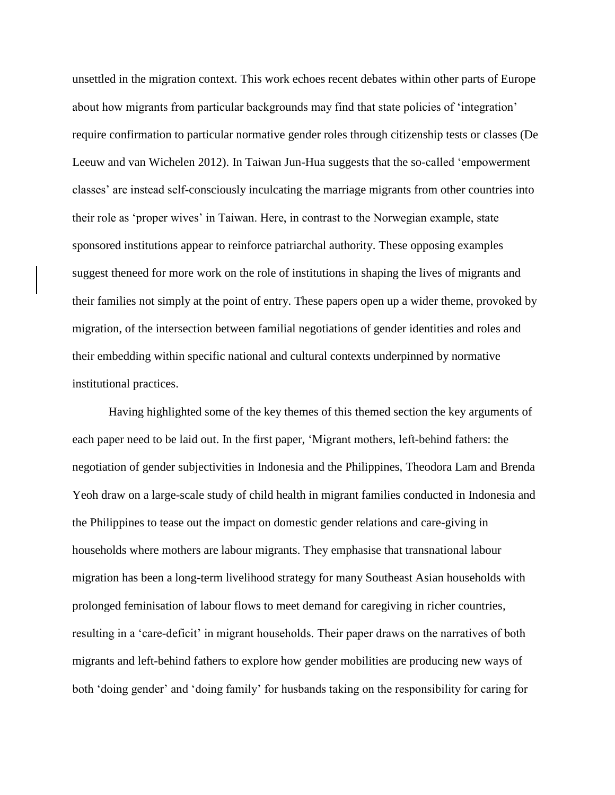unsettled in the migration context. This work echoes recent debates within other parts of Europe about how migrants from particular backgrounds may find that state policies of 'integration' require confirmation to particular normative gender roles through citizenship tests or classes (De Leeuw and van Wichelen 2012). In Taiwan Jun-Hua suggests that the so-called 'empowerment classes' are instead self-consciously inculcating the marriage migrants from other countries into their role as 'proper wives' in Taiwan. Here, in contrast to the Norwegian example, state sponsored institutions appear to reinforce patriarchal authority. These opposing examples suggest theneed for more work on the role of institutions in shaping the lives of migrants and their families not simply at the point of entry. These papers open up a wider theme, provoked by migration, of the intersection between familial negotiations of gender identities and roles and their embedding within specific national and cultural contexts underpinned by normative institutional practices.

Having highlighted some of the key themes of this themed section the key arguments of each paper need to be laid out. In the first paper, 'Migrant mothers, left-behind fathers: the negotiation of gender subjectivities in Indonesia and the Philippines, Theodora Lam and Brenda Yeoh draw on a large-scale study of child health in migrant families conducted in Indonesia and the Philippines to tease out the impact on domestic gender relations and care-giving in households where mothers are labour migrants. They emphasise that transnational labour migration has been a long-term livelihood strategy for many Southeast Asian households with prolonged feminisation of labour flows to meet demand for caregiving in richer countries, resulting in a 'care-deficit' in migrant households. Their paper draws on the narratives of both migrants and left-behind fathers to explore how gender mobilities are producing new ways of both 'doing gender' and 'doing family' for husbands taking on the responsibility for caring for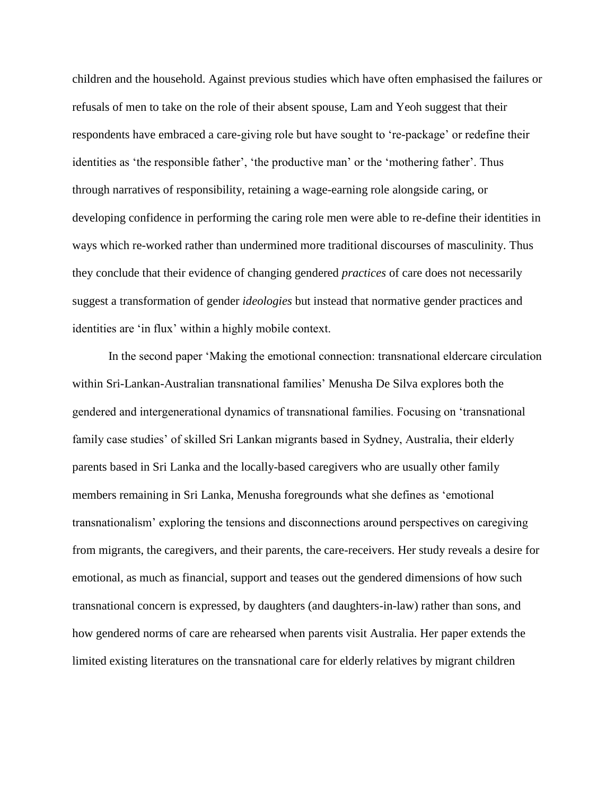children and the household. Against previous studies which have often emphasised the failures or refusals of men to take on the role of their absent spouse, Lam and Yeoh suggest that their respondents have embraced a care-giving role but have sought to 're-package' or redefine their identities as 'the responsible father', 'the productive man' or the 'mothering father'. Thus through narratives of responsibility, retaining a wage-earning role alongside caring, or developing confidence in performing the caring role men were able to re-define their identities in ways which re-worked rather than undermined more traditional discourses of masculinity. Thus they conclude that their evidence of changing gendered *practices* of care does not necessarily suggest a transformation of gender *ideologies* but instead that normative gender practices and identities are 'in flux' within a highly mobile context.

In the second paper 'Making the emotional connection: transnational eldercare circulation within Sri-Lankan-Australian transnational families' Menusha De Silva explores both the gendered and intergenerational dynamics of transnational families. Focusing on 'transnational family case studies' of skilled Sri Lankan migrants based in Sydney, Australia, their elderly parents based in Sri Lanka and the locally-based caregivers who are usually other family members remaining in Sri Lanka, Menusha foregrounds what she defines as 'emotional transnationalism' exploring the tensions and disconnections around perspectives on caregiving from migrants, the caregivers, and their parents, the care-receivers. Her study reveals a desire for emotional, as much as financial, support and teases out the gendered dimensions of how such transnational concern is expressed, by daughters (and daughters-in-law) rather than sons, and how gendered norms of care are rehearsed when parents visit Australia. Her paper extends the limited existing literatures on the transnational care for elderly relatives by migrant children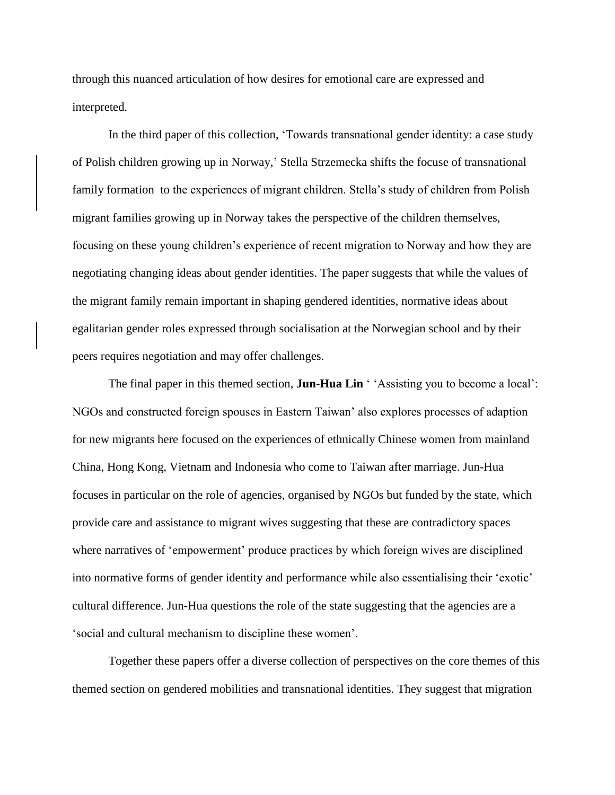through this nuanced articulation of how desires for emotional care are expressed and interpreted.

In the third paper of this collection, 'Towards transnational gender identity: a case study of Polish children growing up in Norway,' Stella Strzemecka shifts the focuse of transnational family formation to the experiences of migrant children. Stella's study of children from Polish migrant families growing up in Norway takes the perspective of the children themselves, focusing on these young children's experience of recent migration to Norway and how they are negotiating changing ideas about gender identities. The paper suggests that while the values of the migrant family remain important in shaping gendered identities, normative ideas about egalitarian gender roles expressed through socialisation at the Norwegian school and by their peers requires negotiation and may offer challenges.

The final paper in this themed section, **Jun-Hua Lin** ' 'Assisting you to become a local': NGOs and constructed foreign spouses in Eastern Taiwan' also explores processes of adaption for new migrants here focused on the experiences of ethnically Chinese women from mainland China, Hong Kong, Vietnam and Indonesia who come to Taiwan after marriage. Jun-Hua focuses in particular on the role of agencies, organised by NGOs but funded by the state, which provide care and assistance to migrant wives suggesting that these are contradictory spaces where narratives of 'empowerment' produce practices by which foreign wives are disciplined into normative forms of gender identity and performance while also essentialising their 'exotic' cultural difference. Jun-Hua questions the role of the state suggesting that the agencies are a 'social and cultural mechanism to discipline these women'.

Together these papers offer a diverse collection of perspectives on the core themes of this themed section on gendered mobilities and transnational identities. They suggest that migration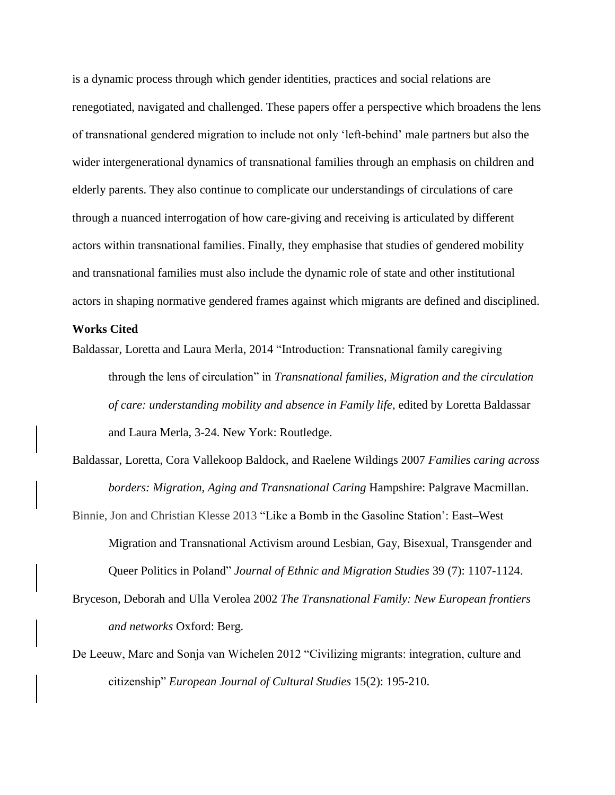is a dynamic process through which gender identities, practices and social relations are renegotiated, navigated and challenged. These papers offer a perspective which broadens the lens of transnational gendered migration to include not only 'left-behind' male partners but also the wider intergenerational dynamics of transnational families through an emphasis on children and elderly parents. They also continue to complicate our understandings of circulations of care through a nuanced interrogation of how care-giving and receiving is articulated by different actors within transnational families. Finally, they emphasise that studies of gendered mobility and transnational families must also include the dynamic role of state and other institutional actors in shaping normative gendered frames against which migrants are defined and disciplined.

## **Works Cited**

- Baldassar, Loretta and Laura Merla, 2014 "Introduction: Transnational family caregiving through the lens of circulation" in *Transnational families, Migration and the circulation of care: understanding mobility and absence in Family life*, edited by Loretta Baldassar and Laura Merla, 3-24. New York: Routledge.
- Baldassar, Loretta, Cora Vallekoop Baldock, and Raelene Wildings 2007 *Families caring across borders: Migration, Aging and Transnational Caring* Hampshire: Palgrave Macmillan.
- Binnie, Jon and Christian Klesse 2013 ["Like a Bomb in the Gasoline Station': East–West](http://www.tandfonline.com/doi/full/10.1080/1369183X.2013.778030)  [Migration and Transnational Activism around Lesbian, Gay, Bisexual, Transgender and](http://www.tandfonline.com/doi/full/10.1080/1369183X.2013.778030)  [Queer Politics in Poland"](http://www.tandfonline.com/doi/full/10.1080/1369183X.2013.778030) *[Journal of Ethnic and Migration Studies](http://www.tandfonline.com/toc/cjms20/39/7)* 39 (7): 1107-1124.
- Bryceson, Deborah and Ulla Verolea 2002 *The Transnational Family: New European frontiers and networks* Oxford: Berg.
- De Leeuw, Marc and Sonja van Wichelen 2012 "Civilizing migrants: integration, culture and citizenship" *European Journal of Cultural Studies* 15(2): 195-210.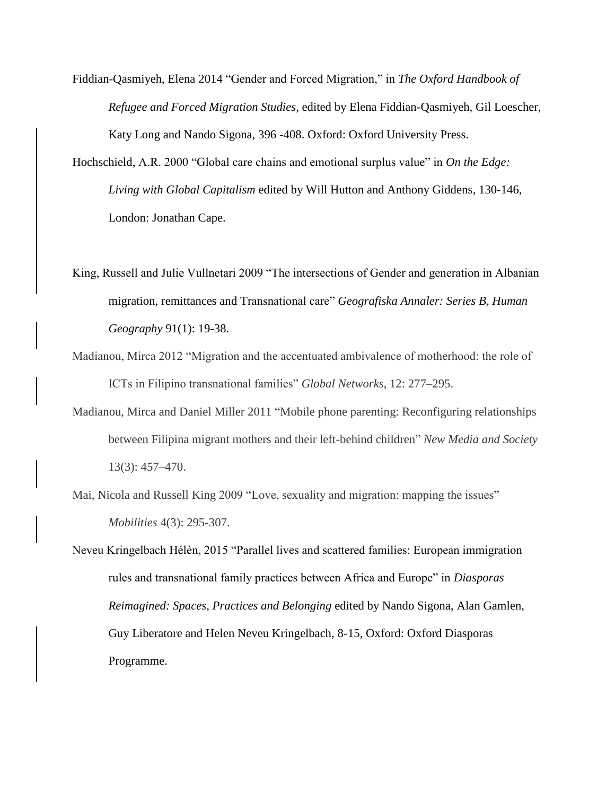Fiddian-Qasmiyeh, Elena 2014 "Gender and Forced Migration," in *The Oxford Handbook of Refugee and Forced Migration Studies*, edited by Elena Fiddian-Qasmiyeh, Gil Loescher, Katy Long and Nando Sigona, 396 -408. Oxford: Oxford University Press.

Hochschield, A.R. 2000 "Global care chains and emotional surplus value" in *On the Edge: Living with Global Capitalism* edited by Will Hutton and Anthony Giddens, 130-146, London: Jonathan Cape.

King, Russell and Julie Vullnetari 2009 "The intersections of Gender and generation in Albanian migration, remittances and Transnational care" *Geografiska Annaler: Series B, Human Geography* 91(1): 19-38.

- Madianou, Mirca 2012 "Migration and the accentuated ambivalence of motherhood: the role of ICTs in Filipino transnational families" *Global Networks*, 12: 277–295.
- Madianou, Mirca and Daniel Miller 2011 "Mobile phone parenting: Reconfiguring relationships between Filipina migrant mothers and their left-behind children" *New Media and Society* 13(3): 457–470.
- Mai, Nicola and Russell King 2009 "Love, sexuality and migration: mapping the issues" *Mobilities* 4(3): 295-307.

Neveu Kringelbach Hélèn, 2015 "Parallel lives and scattered families: European immigration rules and transnational family practices between Africa and Europe" in *Diasporas Reimagined: Spaces, Practices and Belonging* edited by Nando Sigona, Alan Gamlen, Guy Liberatore and Helen Neveu Kringelbach, 8-15, Oxford: Oxford Diasporas Programme.